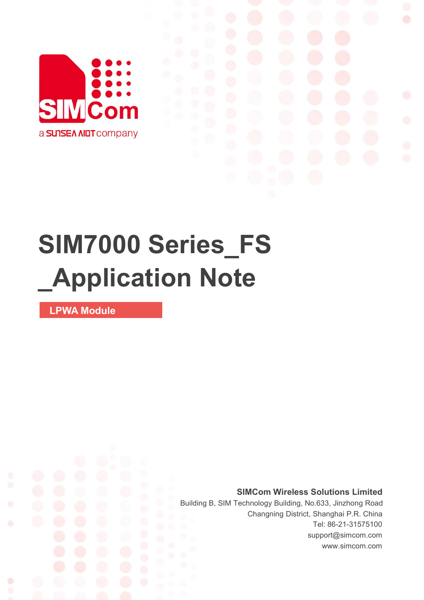

# **SIM7000 Series\_FS \_Application Note**

**LPWA Module**

Ø

**SIMCom Wireless Solutions Limited**

Building B, SIM Technology Building, No.633, Jinzhong Road Changning District, Shanghai P.R. China Tel: 86-21-31575100 support@simcom.com www.simcom.com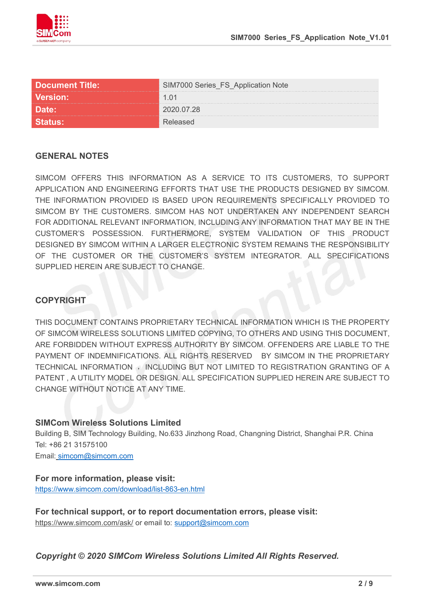

| Document Title:   | SIM7000 Series_FS_Application Note |  |
|-------------------|------------------------------------|--|
| <b>Version: \</b> | 1 () 1                             |  |
|                   | <sup>ንበንበ በ7 28</sup>              |  |
|                   |                                    |  |

#### **GENERAL NOTES**

SIMCOM OFFERS THIS INFORMATION AS A SERVICE TO ITS CUSTOMERS, TO SUPPORT APPLICATION AND ENGINEERING EFFORTS THAT USE THE PRODUCTS DESIGNED BY SIMCOM. THE INFORMATION PROVIDED IS BASED UPON REQUIREMENTS SPECIFICALLY PROVIDED TO SIMCOM BY THE CUSTOMERS. SIMCOM HAS NOT UNDERTAKEN ANY INDEPENDENT SEARCH FOR ADDITIONAL RELEVANT INFORMATION, INCLUDING ANY INFORMATION THAT MAY BE IN THE CUSTOMER'S POSSESSION. FURTHERMORE, SYSTEM VALIDATION OF THIS PRODUCT DESIGNED BY SIMCOM WITHIN A LARGER ELECTRONIC SYSTEM REMAINS THE RESPONSIBILITY OF THE CUSTOMER OR THE CUSTOMER'S SYSTEM INTEGRATOR. ALL SPECIFICATIONS SUPPLIED HEREIN ARE SUBJECT TO CHANGE.

#### **COPYRIGHT**

THIS DOCUMENT CONTAINS PROPRIETARY TECHNICAL INFORMATION WHICH IS THE PROPERTY OF SIMCOM WIRELESS SOLUTIONS LIMITED COPYING, TO OTHERS AND USING THIS DOCUMENT, ARE FORBIDDEN WITHOUT EXPRESS AUTHORITY BY SIMCOM. OFFENDERS ARE LIABLE TO THE PAYMENT OF INDEMNIFICATIONS. ALL RIGHTS RESERVED BY SIMCOM IN THE PROPRIETARY TECHNICAL INFORMATION , INCLUDING BUT NOT LIMITED TO REGISTRATION GRANTING OF A PATENT , A UTILITY MODEL OR DESIGN. ALL SPECIFICATION SUPPLIED HEREIN ARE SUBJECT TO CHANGE WITHOUT NOTICE AT ANY TIME.

#### **SIMCom Wireless Solutions Limited**

Building B, SIM Technology Building, No.633 Jinzhong Road, Changning District, Shanghai P.R. China Tel: +86 21 31575100 Email: [simcom@simcom.com](mailto:simcom@simcom.com)

### **For more information, please visit:**

<https://www.simcom.com/download/list-863-en.html>

**For technical support, or to report documentation errors, please visit:** https://www.simcom.com/ask/ or email to: [support@simcom.com](mailto:support@simcom.com)

*Copyright © 2020 SIMCom Wireless Solutions Limited All Rights Reserved.*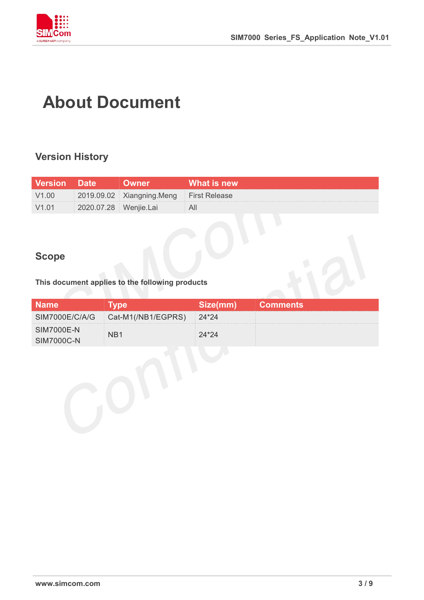

## **About Document**

#### **Version History**

| <b>Version</b> Date |                       | <b>Owner</b>                            | ∟What is new <sup>।</sup> |
|---------------------|-----------------------|-----------------------------------------|---------------------------|
| V1.00               |                       | 2019.09.02 Xiangning.Meng First Release |                           |
| V1.01               | 2020.07.28 Wenjie.Lai |                                         |                           |

#### **Scope**

#### **This document applies to the following products**

| <b>Name</b>                            | <b>Type</b>                         | Size(mm) | <b>Comments</b> |
|----------------------------------------|-------------------------------------|----------|-----------------|
|                                        | SIM7000E/C/A/G   Cat-M1(/NB1/EGPRS) | 24*24    |                 |
| <b>SIM7000E-N</b><br><b>SIM7000C-N</b> | N <sub>B</sub> 1                    | 24*24    |                 |
|                                        |                                     |          |                 |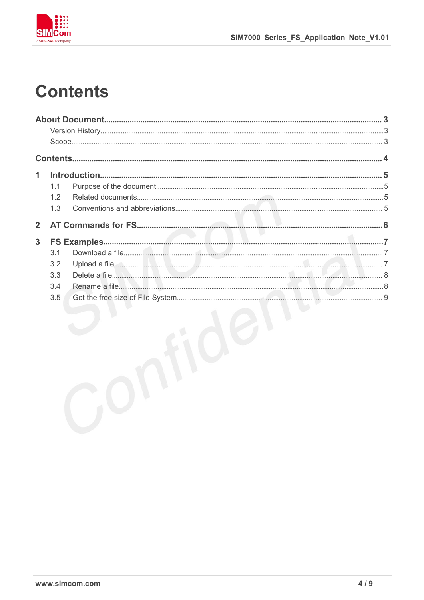

## **Contents**

| 1              |     |  |
|----------------|-----|--|
|                | 1.1 |  |
|                | 1.2 |  |
|                | 1.3 |  |
| $\overline{2}$ |     |  |
| 3              |     |  |
|                | 3.1 |  |
|                | 3.2 |  |
|                | 3.3 |  |
|                | 3.4 |  |
|                | 3.5 |  |
|                |     |  |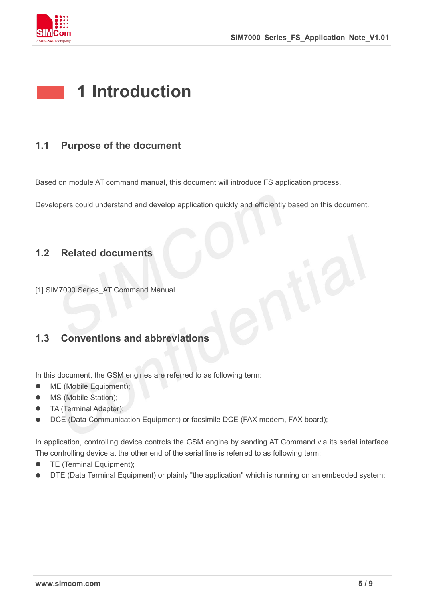

### **1 Introduction**

#### **1.1 Purpose of the document**

Based on module AT command manual, this document will introduce FS application process.

Developers could understand and develop application quickly and efficiently based on this document.

#### **1.2 Related documents**

[1] SIM7000 Series\_AT Command Manual

#### **1.3 Conventions and abbreviations**

In this document, the GSM engines are referred to as following term:

- ME (Mobile Equipment);
- MS (Mobile Station);
- TA (Terminal Adapter);
- DCE (Data Communication Equipment) or facsimile DCE (FAX modem, FAX board);

In application, controlling device controls the GSM engine by sending AT Command via its serial interface. The controlling device at the other end of the serial line is referred to as following term:

- **•** TE (Terminal Equipment);
- DTE (Data Terminal Equipment) or plainly "the application" which is running on an embedded system;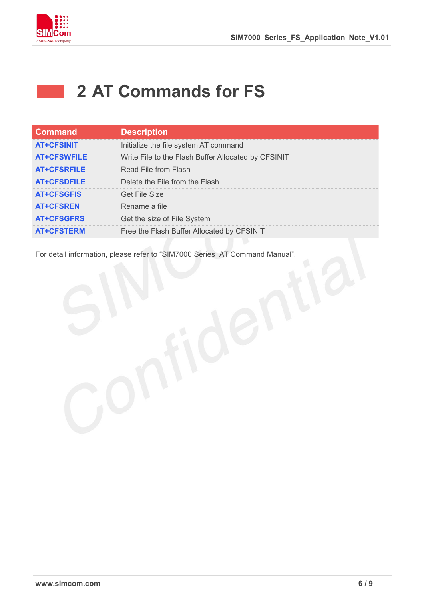

### **2 AT Commands for FS**

| <b>Command</b>     | <b>Description</b>                                  |
|--------------------|-----------------------------------------------------|
| <b>AT+CFSINIT</b>  | Initialize the file system AT command               |
| <b>AT+CFSWFILE</b> | Write File to the Flash Buffer Allocated by CFSINIT |
| <b>AT+CFSRFILE</b> | Read File from Flash                                |
| <b>AT+CFSDFILE</b> | Delete the File from the Flash                      |
| <b>AT+CFSGFIS</b>  | <b>Get File Size</b>                                |
| <b>AT+CFSREN</b>   | Rename a file                                       |
| <b>AT+CFSGFRS</b>  | Get the size of File System                         |
| <b>AT+CFSTERM</b>  | Free the Flash Buffer Allocated by CFSINIT          |

For detail information, please refer to "SIM7000 Series\_AT Command Manual".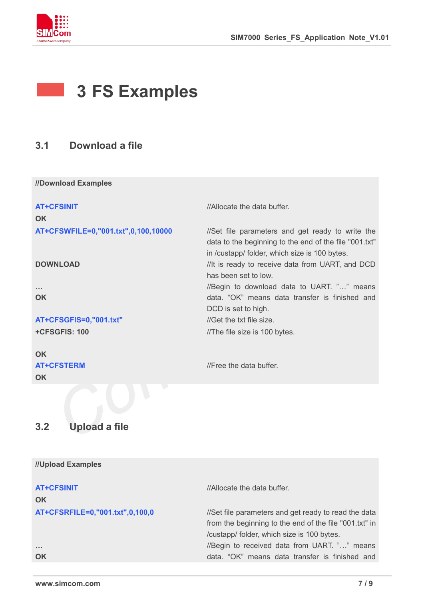

### **3 FS Examples**

#### **3.1 Download a file**

**//Download Examples**

| <b>AT+CFSINIT</b>                   | //Allocate the data buffer.                            |
|-------------------------------------|--------------------------------------------------------|
| <b>OK</b>                           |                                                        |
| AT+CFSWFILE=0,"001.txt",0,100,10000 | //Set file parameters and get ready to write the       |
|                                     | data to the beginning to the end of the file "001.txt" |
|                                     | in /custapp/ folder, which size is 100 bytes.          |
| <b>DOWNLOAD</b>                     | //It is ready to receive data from UART, and DCD       |
|                                     | has been set to low.                                   |
| $\sim 100$                          | //Begin to download data to UART. "" means             |
| <b>OK</b>                           | data. "OK" means data transfer is finished and         |
|                                     | DCD is set to high.                                    |
| AT+CFSGFIS=0,"001.txt"              | //Get the txt file size.                               |
| +CFSGFIS: 100                       | //The file size is 100 bytes.                          |
| <b>OK</b>                           |                                                        |
| <b>AT+CFSTERM</b>                   | //Free the data buffer.                                |
| <b>OK</b>                           |                                                        |

#### **3.2 Upload a file**

| //Upload Examples               |                                                        |
|---------------------------------|--------------------------------------------------------|
| <b>AT+CFSINIT</b>               | //Allocate the data buffer.                            |
| OK                              |                                                        |
| AT+CFSRFILE=0,"001.txt",0,100,0 | //Set file parameters and get ready to read the data   |
|                                 | from the beginning to the end of the file "001.txt" in |
|                                 | /custapp/ folder, which size is 100 bytes.             |
| $\sim$ $\sim$ $\sim$            | //Begin to received data from UART. "" means           |
| OK                              | data. "OK" means data transfer is finished and         |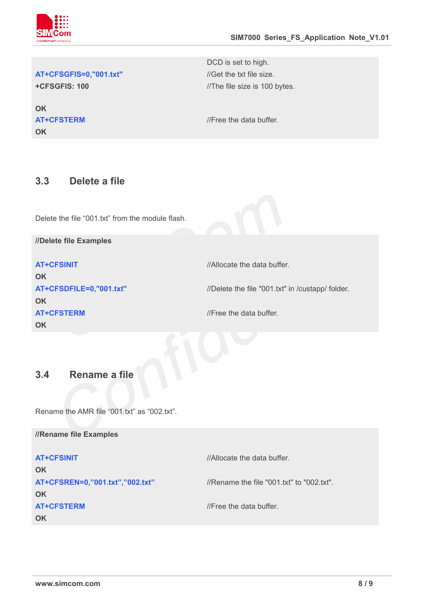

#### AT+CFSGFIS=0,"001.txt" //Get the txt file size.

**+CFSGFIS: 100**

**OK OK** DCD is set to high. //The file size is 100 bytes.

**AT+CFSTERM** *//Free the data buffer.* 

#### **3.3 Delete a file**

Delete the file "001.txt" from the module flash.

**//Delete file Examples**

| <b>AT+CFSINIT</b>                    | //Allocate the data buffer.                      |
|--------------------------------------|--------------------------------------------------|
| <b>OK</b><br>AT+CFSDFILE=0,"001.txt" | //Delete the file "001.txt" in /custapp/ folder. |
| <b>OK</b><br><b>AT+CFSTERM</b>       | //Free the data buffer.                          |
| OK                                   |                                                  |
| 3.4<br>Rename a file                 |                                                  |

Rename the AMR file "001.txt" as "002.txt".

| //Rename file Examples          |                                           |
|---------------------------------|-------------------------------------------|
| <b>AT+CFSINIT</b>               | //Allocate the data buffer.               |
| <b>OK</b>                       |                                           |
| AT+CFSREN=0,"001.txt","002.txt" | //Rename the file "001.txt" to "002.txt". |
| <b>OK</b>                       |                                           |
| <b>AT+CFSTERM</b>               | //Free the data buffer.                   |
| <b>OK</b>                       |                                           |